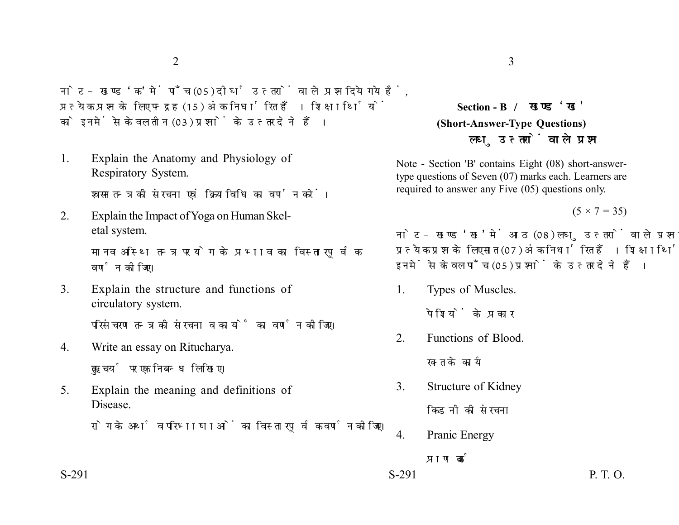नोट- खण्ड 'क' में पाँच (05) दीर्घ उत्तरों वाले प्रश्न दिये गये हैं. प्रत्येक प्रश्न के लिए पन्द्रह (15) अंक निर्धारित हैं। शिक्षार्थियों को इनमें से केवल तीन (03) प्रश्नों के उत्तर देने हैं।

1. Explain the Anatomy and Physiology of Respiratory System.

श्वसन तन्त्र की संरचना एवं क्रियाविधि का वर्णन करें।

2. Explain the Impact of Yoga on Human Skeletal system.

> मानव अस्थि तन्त्र पर योग के प्रभाव का विस्तारपूर्वक वर्णन कीजिए।

- 3. Explain the structure and functions of circulatory system. परिसंचरण तन्त्र की संरचना व कार्यों का वर्णन कोजिए।
- 4. Write an essay on Ritucharya. ऋतुचर्या पर एक निबन्ध लिखिए।
- 5. Explain the meaning and definitions of Disease.

रोग के अर्थ व परिभाषाओं का विस्तारपूर्वक वर्णन कोजिए।

**Section - B (Short-Answer-Type Questions)** लघ उत्तरों वाले प्रश्न

Note - Section 'B' contains Eight (08) short-answertype questions of Seven (07) marks each. Learners are required to answer any Five (05) questions only.

 $(5 \times 7 = 35)$ 

नोट- खण्ड 'ख' में आठ (08) लघु उत्तरों वाले प्रश्न दिये गये हैं, प्रत्येक प्रश्न के लिए सात (07) अंक निर्धारित हैं। शिक्षार्थियों को इनमें से केवल पाँच (05) प्रश्नों के उत्तर देने हैं।

1. Types of Muscles.

पेशियों के पकार

2. Functions of Blood.

रक्त के कार्य

3. Structure of Kidney

किडनी की संरचना

4. Pranic Energy

पाण ऊर्जा

 $S-291$  P. T. O.